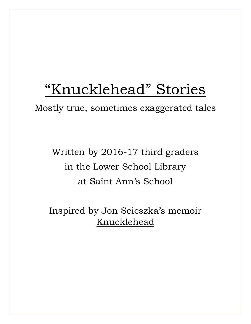# "Knucklehead" Stories

Mostly true, sometimes exaggerated tales

Written by 2016-17 third graders in the Lower School Library at Saint Ann's School

Inspired by Jon Scieszka's memoir Knucklehead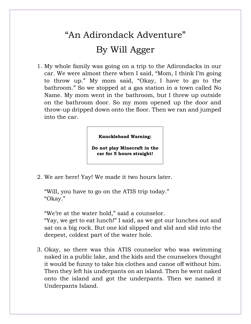# "An Adirondack Adventure" By Will Agger

1. My whole family was going on a trip to the Adirondacks in our car. We were almost there when I said, "Mom, I think I'm going to throw up." My mom said, "Okay, I have to go to the bathroom." So we stopped at a gas station in a town called No Name. My mom went in the bathroom, but I threw up outside on the bathroom door. So my mom opened up the door and throw-up dripped down onto the floor. Then we ran and jumped into the car.

#### **Knucklehead Warning:**

**Do not play Minecraft in the car for 5 hours straight!**

2. We are here! Yay! We made it two hours later.

"Will, you have to go on the ATIS trip today." "Okay."

"We're at the water hold," said a counselor.

"Yay, we get to eat lunch!" I said, as we got our lunches out and sat on a big rock. But one kid slipped and slid and slid into the deepest, coldest part of the water hole.

3. Okay, so there was this ATIS counselor who was swimming naked in a public lake, and the kids and the counselors thought it would be funny to take his clothes and canoe off without him. Then they left his underpants on an island. Then he went naked onto the island and got the underpants. Then we named it Underpants Island.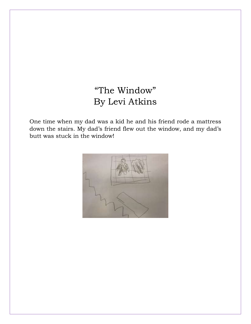## "The Window" By Levi Atkins

One time when my dad was a kid he and his friend rode a mattress down the stairs. My dad's friend flew out the window, and my dad's butt was stuck in the window!

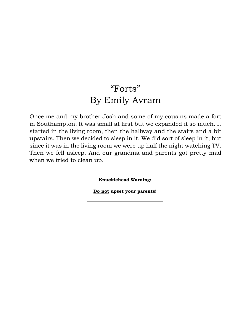#### "Forts" By Emily Avram

Once me and my brother Josh and some of my cousins made a fort in Southampton. It was small at first but we expanded it so much. It started in the living room, then the hallway and the stairs and a bit upstairs. Then we decided to sleep in it. We did sort of sleep in it, but since it was in the living room we were up half the night watching TV. Then we fell asleep. And our grandma and parents got pretty mad when we tried to clean up.

**Knucklehead Warning:**

**Do not upset your parents!**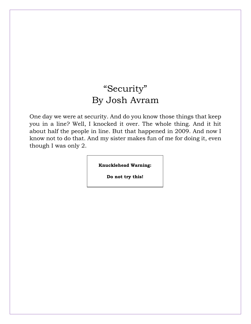#### "Security" By Josh Avram

One day we were at security. And do you know those things that keep you in a line? Well, I knocked it over. The whole thing. And it hit about half the people in line. But that happened in 2009. And now I know not to do that. And my sister makes fun of me for doing it, even though I was only 2.

**Knucklehead Warning:**

**Do not try this!**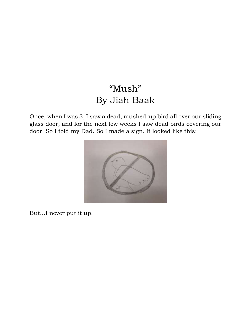#### "Mush" By Jiah Baak

Once, when I was 3, I saw a dead, mushed-up bird all over our sliding glass door, and for the next few weeks I saw dead birds covering our door. So I told my Dad. So I made a sign. It looked like this:



But…I never put it up.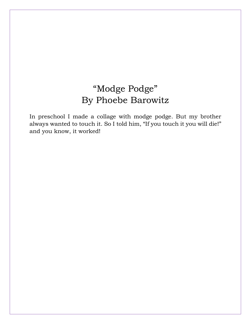#### "Modge Podge" By Phoebe Barowitz

In preschool I made a collage with modge podge. But my brother always wanted to touch it. So I told him, "If you touch it you will die!" and you know, it worked!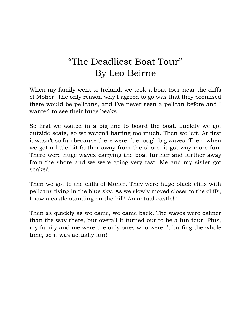#### "The Deadliest Boat Tour" By Leo Beirne

When my family went to Ireland, we took a boat tour near the cliffs of Moher. The only reason why I agreed to go was that they promised there would be pelicans, and I've never seen a pelican before and I wanted to see their huge beaks.

So first we waited in a big line to board the boat. Luckily we got outside seats, so we weren't barfing too much. Then we left. At first it wasn't so fun because there weren't enough big waves. Then, when we got a little bit farther away from the shore, it got way more fun. There were huge waves carrying the boat further and further away from the shore and we were going very fast. Me and my sister got soaked.

Then we got to the cliffs of Moher. They were huge black cliffs with pelicans flying in the blue sky. As we slowly moved closer to the cliffs, I saw a castle standing on the hill! An actual castle!!!

Then as quickly as we came, we came back. The waves were calmer than the way there, but overall it turned out to be a fun tour. Plus, my family and me were the only ones who weren't barfing the whole time, so it was actually fun!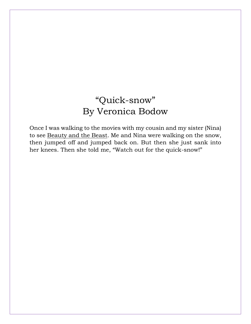#### "Quick-snow" By Veronica Bodow

Once I was walking to the movies with my cousin and my sister (Nina) to see Beauty and the Beast. Me and Nina were walking on the snow, then jumped off and jumped back on. But then she just sank into her knees. Then she told me, "Watch out for the quick-snow!"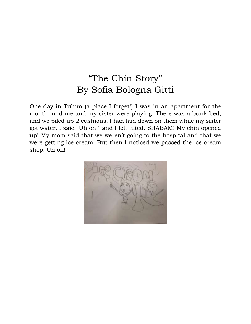#### "The Chin Story" By Sofia Bologna Gitti

One day in Tulum (a place I forget!) I was in an apartment for the month, and me and my sister were playing. There was a bunk bed, and we piled up 2 cushions. I had laid down on them while my sister got water. I said "Uh oh!" and I felt tilted. SHABAM! My chin opened up! My mom said that we weren't going to the hospital and that we were getting ice cream! But then I noticed we passed the ice cream shop. Uh oh!

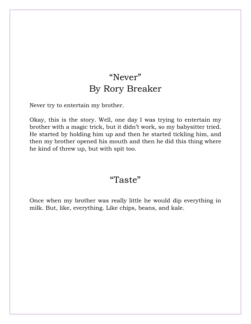#### "Never" By Rory Breaker

Never try to entertain my brother.

Okay, this is the story. Well, one day I was trying to entertain my brother with a magic trick, but it didn't work, so my babysitter tried. He started by holding him up and then he started tickling him, and then my brother opened his mouth and then he did this thing where he kind of threw up, but with spit too.

#### "Taste"

Once when my brother was really little he would dip everything in milk. But, like, everything. Like chips, beans, and kale.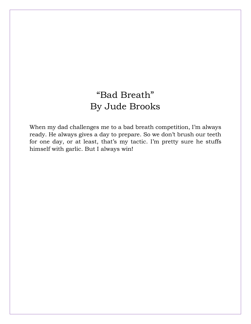### "Bad Breath" By Jude Brooks

When my dad challenges me to a bad breath competition, I'm always ready. He always gives a day to prepare. So we don't brush our teeth for one day, or at least, that's my tactic. I'm pretty sure he stuffs himself with garlic. But I always win!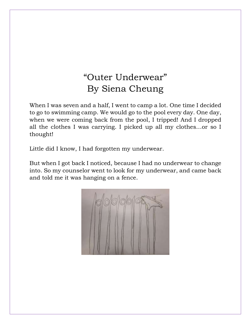### "Outer Underwear" By Siena Cheung

When I was seven and a half, I went to camp a lot. One time I decided to go to swimming camp. We would go to the pool every day. One day, when we were coming back from the pool, I tripped! And I dropped all the clothes I was carrying. I picked up all my clothes…or so I thought!

Little did I know, I had forgotten my underwear.

But when I got back I noticed, because I had no underwear to change into. So my counselor went to look for my underwear, and came back and told me it was hanging on a fence.

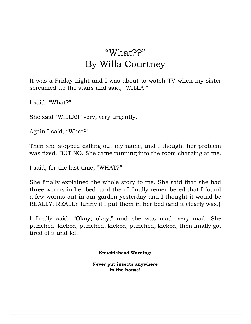## "What??" By Willa Courtney

It was a Friday night and I was about to watch TV when my sister screamed up the stairs and said, "WILLA!"

I said, "What?"

She said "WILLA!!" very, very urgently.

Again I said, "What?"

Then she stopped calling out my name, and I thought her problem was fixed. BUT NO. She came running into the room charging at me.

I said, for the last time, "WHAT?"

She finally explained the whole story to me. She said that she had three worms in her bed, and then I finally remembered that I found a few worms out in our garden yesterday and I thought it would be REALLY, REALLY funny if I put them in her bed (and it clearly was.)

I finally said, "Okay, okay," and she was mad, very mad. She punched, kicked, punched, kicked, punched, kicked, then finally got tired of it and left.

**Knucklehead Warning:**

**Never put insects anywhere in the house!**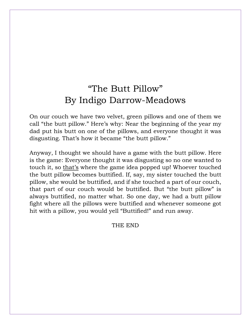#### "The Butt Pillow" By Indigo Darrow-Meadows

On our couch we have two velvet, green pillows and one of them we call "the butt pillow." Here's why: Near the beginning of the year my dad put his butt on one of the pillows, and everyone thought it was disgusting. That's how it became "the butt pillow."

Anyway, I thought we should have a game with the butt pillow. Here is the game: Everyone thought it was disgusting so no one wanted to touch it, so that's where the game idea popped up! Whoever touched the butt pillow becomes buttified. If, say, my sister touched the butt pillow, she would be buttified, and if she touched a part of our couch, that part of our couch would be buttified. But "the butt pillow" is always buttified, no matter what. So one day, we had a butt pillow fight where all the pillows were buttified and whenever someone got hit with a pillow, you would yell "Buttified!" and run away.

THE END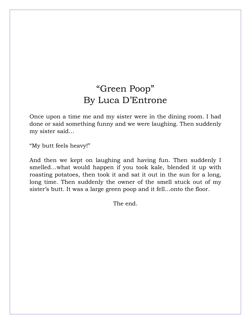#### "Green Poop" By Luca D'Entrone

Once upon a time me and my sister were in the dining room. I had done or said something funny and we were laughing. Then suddenly my sister said…

"My butt feels heavy!"

And then we kept on laughing and having fun. Then suddenly I smelled…what would happen if you took kale, blended it up with roasting potatoes, then took it and sat it out in the sun for a long, long time. Then suddenly the owner of the smell stuck out of my sister's butt. It was a large green poop and it fell…onto the floor.

The end.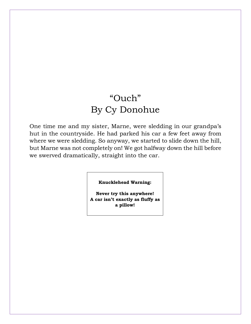#### "Ouch" By Cy Donohue

One time me and my sister, Marne, were sledding in our grandpa's hut in the countryside. He had parked his car a few feet away from where we were sledding. So anyway, we started to slide down the hill, but Marne was not completely on! We got halfway down the hill before we swerved dramatically, straight into the car.

**Knucklehead Warning:**

**Never try this anywhere! A car isn't exactly as fluffy as a pillow!**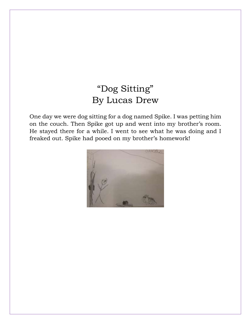#### "Dog Sitting" By Lucas Drew

One day we were dog sitting for a dog named Spike. I was petting him on the couch. Then Spike got up and went into my brother's room. He stayed there for a while. I went to see what he was doing and I freaked out. Spike had pooed on my brother's homework!

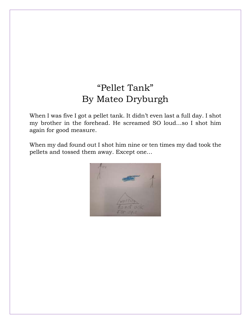## "Pellet Tank" By Mateo Dryburgh

When I was five I got a pellet tank. It didn't even last a full day. I shot my brother in the forehead. He screamed SO loud…so I shot him again for good measure.

When my dad found out I shot him nine or ten times my dad took the pellets and tossed them away. Except one…

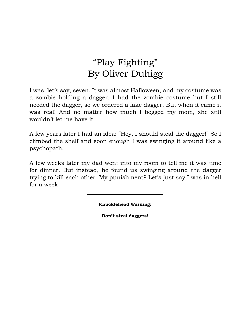## "Play Fighting" By Oliver Duhigg

I was, let's say, seven. It was almost Halloween, and my costume was a zombie holding a dagger. I had the zombie costume but I still needed the dagger, so we ordered a fake dagger. But when it came it was real! And no matter how much I begged my mom, she still wouldn't let me have it.

A few years later I had an idea: "Hey, I should steal the dagger!" So I climbed the shelf and soon enough I was swinging it around like a psychopath.

A few weeks later my dad went into my room to tell me it was time for dinner. But instead, he found us swinging around the dagger trying to kill each other. My punishment? Let's just say I was in hell for a week.

**Knucklehead Warning:**

**Don't steal daggers!**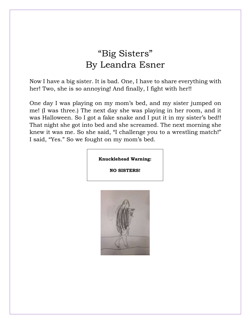#### "Big Sisters" By Leandra Esner

Now I have a big sister. It is bad. One, I have to share everything with her! Two, she is so annoying! And finally, I fight with her!!

One day I was playing on my mom's bed, and my sister jumped on me! (I was three.) The next day she was playing in her room, and it was Halloween. So I got a fake snake and I put it in my sister's bed!! That night she got into bed and she screamed. The next morning she knew it was me. So she said, "I challenge you to a wrestling match!" I said, "Yes." So we fought on my mom's bed.

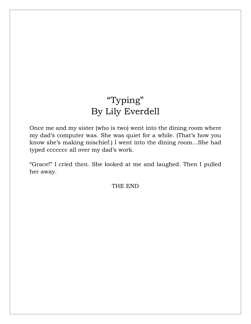### "Typing" By Lily Everdell

Once me and my sister (who is two) went into the dining room where my dad's computer was. She was quiet for a while. (That's how you know she's making mischief.) I went into the dining room…She had typed ccccccc all over my dad's work.

"Grace!" I cried then. She looked at me and laughed. Then I pulled her away.

THE END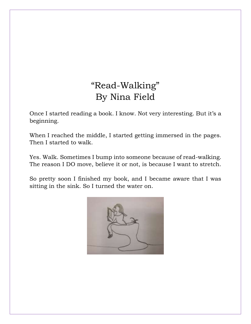#### "Read-Walking" By Nina Field

Once I started reading a book. I know. Not very interesting. But it's a beginning.

When I reached the middle, I started getting immersed in the pages. Then I started to walk.

Yes. Walk. Sometimes I bump into someone because of read-walking. The reason I DO move, believe it or not, is because I want to stretch.

So pretty soon I finished my book, and I became aware that I was sitting in the sink. So I turned the water on.

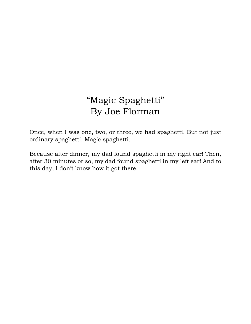#### "Magic Spaghetti" By Joe Florman

Once, when I was one, two, or three, we had spaghetti. But not just ordinary spaghetti. Magic spaghetti.

Because after dinner, my dad found spaghetti in my right ear! Then, after 30 minutes or so, my dad found spaghetti in my left ear! And to this day, I don't know how it got there.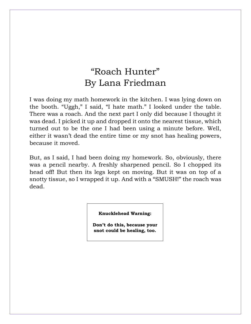#### "Roach Hunter" By Lana Friedman

I was doing my math homework in the kitchen. I was lying down on the booth. "Uggh," I said, "I hate math." I looked under the table. There was a roach. And the next part I only did because I thought it was dead. I picked it up and dropped it onto the nearest tissue, which turned out to be the one I had been using a minute before. Well, either it wasn't dead the entire time or my snot has healing powers, because it moved.

But, as I said, I had been doing my homework. So, obviously, there was a pencil nearby. A freshly sharpened pencil. So I chopped its head off! But then its legs kept on moving. But it was on top of a snotty tissue, so I wrapped it up. And with a "SMUSH!" the roach was dead.

#### **Knucklehead Warning:**

**Don't do this, because your snot could be healing, too.**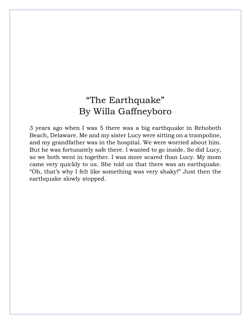#### "The Earthquake" By Willa Gaffneyboro

3 years ago when I was 5 there was a big earthquake in Rehoboth Beach, Delaware. Me and my sister Lucy were sitting on a trampoline, and my grandfather was in the hospital. We were worried about him. But he was fortunately safe there. I wanted to go inside. So did Lucy, so we both went in together. I was more scared than Lucy. My mom came very quickly to us. She told us that there was an earthquake. "Oh, that's why I felt like something was very shaky!" Just then the earthquake slowly stopped.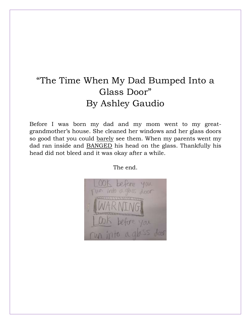#### "The Time When My Dad Bumped Into a Glass Door" By Ashley Gaudio

Before I was born my dad and my mom went to my greatgrandmother's house. She cleaned her windows and her glass doors so good that you could barely see them. When my parents went my dad ran inside and BANGED his head on the glass. Thankfully his head did not bleed and it was okay after a while.

The end.

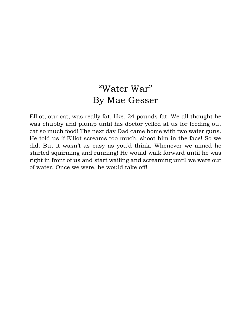#### "Water War" By Mae Gesser

Elliot, our cat, was really fat, like, 24 pounds fat. We all thought he was chubby and plump until his doctor yelled at us for feeding out cat so much food! The next day Dad came home with two water guns. He told us if Elliot screams too much, shoot him in the face! So we did. But it wasn't as easy as you'd think. Whenever we aimed he started squirming and running! He would walk forward until he was right in front of us and start wailing and screaming until we were out of water. Once we were, he would take off!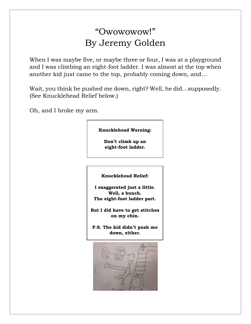#### "Owowowow!" By Jeremy Golden

When I was maybe five, or maybe three or four, I was at a playground and I was climbing an eight-foot ladder. I was almost at the top when another kid just came to the top, probably coming down, and…

Wait, you think he pushed me down, right? Well, he did…supposedly. (See Knucklehead Relief below.)

Oh, and I broke my arm.

#### **Knucklehead Warning:**

**Don't climb up an eight-foot ladder.**

**Knucklehead Relief:**

**I exaggerated just a little. Well, a bunch. The eight-foot ladder part.**

**But I did have to get stitches on my chin.**

**P.S. The kid didn't push me down, either.**

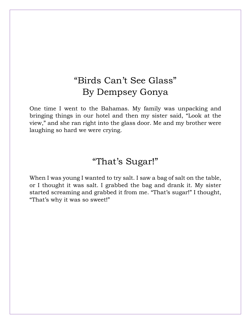#### "Birds Can't See Glass" By Dempsey Gonya

One time I went to the Bahamas. My family was unpacking and bringing things in our hotel and then my sister said, "Look at the view," and she ran right into the glass door. Me and my brother were laughing so hard we were crying.

#### "That's Sugar!"

When I was young I wanted to try salt. I saw a bag of salt on the table, or I thought it was salt. I grabbed the bag and drank it. My sister started screaming and grabbed it from me. "That's sugar!" I thought, "That's why it was so sweet!"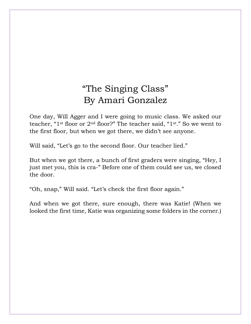#### "The Singing Class" By Amari Gonzalez

One day, Will Agger and I were going to music class. We asked our teacher, "1st floor or 2nd floor?" The teacher said, "1st." So we went to the first floor, but when we got there, we didn't see anyone.

Will said, "Let's go to the second floor. Our teacher lied."

But when we got there, a bunch of first graders were singing, "Hey, I just met you, this is cra-" Before one of them could see us, we closed the door.

"Oh, snap," Will said. "Let's check the first floor again."

And when we got there, sure enough, there was Katie! (When we looked the first time, Katie was organizing some folders in the corner.)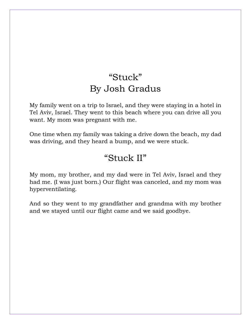#### "Stuck" By Josh Gradus

My family went on a trip to Israel, and they were staying in a hotel in Tel Aviv, Israel. They went to this beach where you can drive all you want. My mom was pregnant with me.

One time when my family was taking a drive down the beach, my dad was driving, and they heard a bump, and we were stuck.

#### "Stuck II"

My mom, my brother, and my dad were in Tel Aviv, Israel and they had me. (I was just born.) Our flight was canceled, and my mom was hyperventilating.

And so they went to my grandfather and grandma with my brother and we stayed until our flight came and we said goodbye.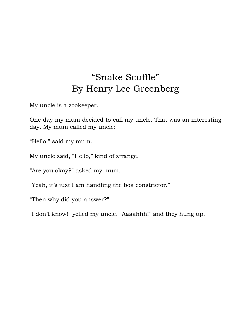## "Snake Scuffle" By Henry Lee Greenberg

My uncle is a zookeeper.

One day my mum decided to call my uncle. That was an interesting day. My mum called my uncle:

"Hello," said my mum.

My uncle said, "Hello," kind of strange.

"Are you okay?" asked my mum.

"Yeah, it's just I am handling the boa constrictor."

"Then why did you answer?"

"I don't know!" yelled my uncle. "Aaaahhh!" and they hung up.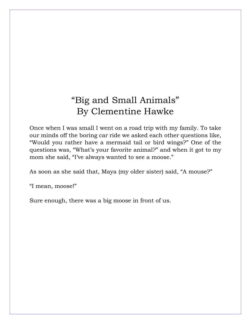#### "Big and Small Animals" By Clementine Hawke

Once when I was small I went on a road trip with my family. To take our minds off the boring car ride we asked each other questions like, "Would you rather have a mermaid tail or bird wings?" One of the questions was, "What's your favorite animal?" and when it got to my mom she said, "I've always wanted to see a moose."

As soon as she said that, Maya (my older sister) said, "A mouse?"

"I mean, moose!"

Sure enough, there was a big moose in front of us.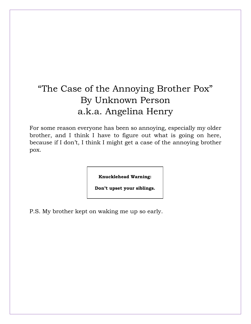# "The Case of the Annoying Brother Pox" By Unknown Person a.k.a. Angelina Henry

For some reason everyone has been so annoying, especially my older brother, and I think I have to figure out what is going on here, because if I don't, I think I might get a case of the annoying brother pox.

**Knucklehead Warning:**

**Don't upset your siblings.**

P.S. My brother kept on waking me up so early.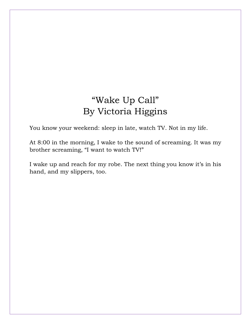#### "Wake Up Call" By Victoria Higgins

You know your weekend: sleep in late, watch TV. Not in my life.

At 8:00 in the morning, I wake to the sound of screaming. It was my brother screaming, "I want to watch TV!"

I wake up and reach for my robe. The next thing you know it's in his hand, and my slippers, too.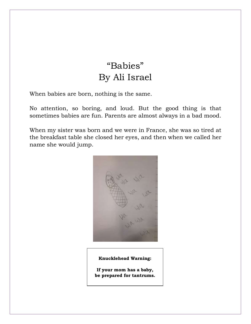# "Babies" By Ali Israel

When babies are born, nothing is the same.

No attention, so boring, and loud. But the good thing is that sometimes babies are fun. Parents are almost always in a bad mood.

When my sister was born and we were in France, she was so tired at the breakfast table she closed her eyes, and then when we called her name she would jump.



#### **Knucklehead Warning:**

**If your mom has a baby, be prepared for tantrums.**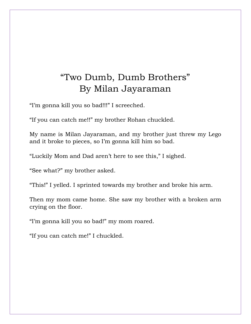# "Two Dumb, Dumb Brothers" By Milan Jayaraman

"I'm gonna kill you so bad!!!" I screeched.

"If you can catch me!!" my brother Rohan chuckled.

My name is Milan Jayaraman, and my brother just threw my Lego and it broke to pieces, so I'm gonna kill him so bad.

"Luckily Mom and Dad aren't here to see this," I sighed.

"See what?" my brother asked.

"This!" I yelled. I sprinted towards my brother and broke his arm.

Then my mom came home. She saw my brother with a broken arm crying on the floor.

"I'm gonna kill you so bad!" my mom roared.

"If you can catch me!" I chuckled.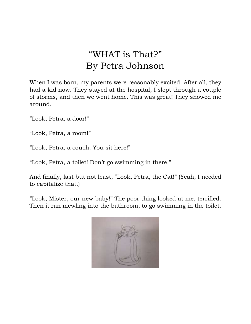# "WHAT is That?" By Petra Johnson

When I was born, my parents were reasonably excited. After all, they had a kid now. They stayed at the hospital, I slept through a couple of storms, and then we went home. This was great! They showed me around.

"Look, Petra, a door!"

"Look, Petra, a room!"

"Look, Petra, a couch. You sit here!"

"Look, Petra, a toilet! Don't go swimming in there."

And finally, last but not least, "Look, Petra, the Cat!" (Yeah, I needed to capitalize that.)

"Look, Mister, our new baby!" The poor thing looked at me, terrified. Then it ran mewling into the bathroom, to go swimming in the toilet.

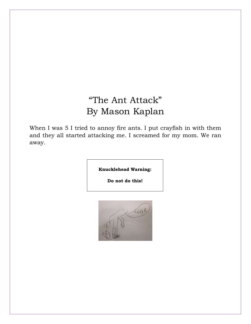# "The Ant Attack" By Mason Kaplan

When I was 5 I tried to annoy fire ants. I put crayfish in with them and they all started attacking me. I screamed for my mom. We ran away.

**Knucklehead Warning:**

**Do not do this!**

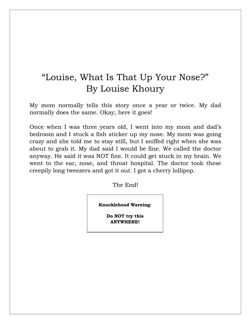# "Louise, What Is That Up Your Nose?" By Louise Khoury

My mom normally tells this story once a year or twice. My dad normally does the same. Okay, here it goes!

Once when I was three years old, I went into my mom and dad's bedroom and I stuck a fish sticker up my nose. My mom was going crazy and she told me to stay still, but I sniffed right when she was about to grab it. My dad said I would be fine. We called the doctor anyway. He said it was NOT fine. It could get stuck in my brain. We went to the ear, nose, and throat hospital. The doctor took these creepily long tweezers and got it out. I got a cherry lollipop.

The End!

**Knucklehead Warning:**

**Do NOT try this ANYWHERE!**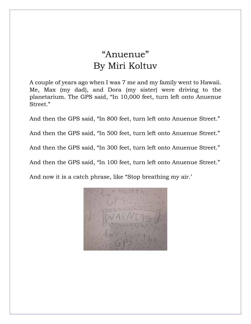# "Anuenue" By Miri Koltuv

A couple of years ago when I was 7 me and my family went to Hawaii. Me, Max (my dad), and Dora (my sister) were driving to the planetarium. The GPS said, "In 10,000 feet, turn left onto Anuenue Street."

And then the GPS said, "In 800 feet, turn left onto Anuenue Street." And then the GPS said, "In 500 feet, turn left onto Anuenue Street." And then the GPS said, "In 300 feet, turn left onto Anuenue Street." And then the GPS said, "In 100 feet, turn left onto Anuenue Street." And now it is a catch phrase, like "Stop breathing my air.'

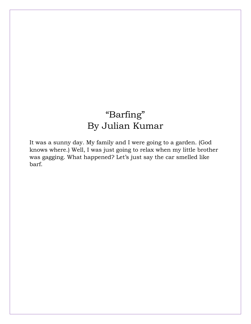# "Barfing" By Julian Kumar

It was a sunny day. My family and I were going to a garden. (God knows where.) Well, I was just going to relax when my little brother was gagging. What happened? Let's just say the car smelled like barf.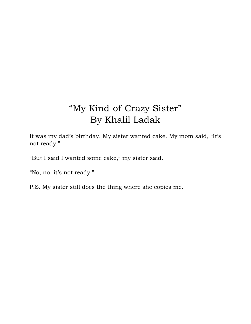# "My Kind-of-Crazy Sister" By Khalil Ladak

It was my dad's birthday. My sister wanted cake. My mom said, "It's not ready."

"But I said I wanted some cake," my sister said.

"No, no, it's not ready."

P.S. My sister still does the thing where she copies me.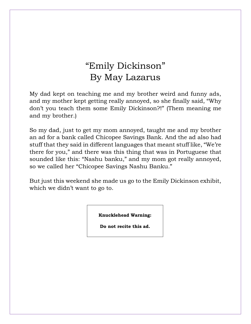# "Emily Dickinson" By May Lazarus

My dad kept on teaching me and my brother weird and funny ads, and my mother kept getting really annoyed, so she finally said, "Why don't you teach them some Emily Dickinson?!" (Them meaning me and my brother.)

So my dad, just to get my mom annoyed, taught me and my brother an ad for a bank called Chicopee Savings Bank. And the ad also had stuff that they said in different languages that meant stuff like, "We're there for you," and there was this thing that was in Portuguese that sounded like this: "Nashu banku," and my mom got really annoyed, so we called her "Chicopee Savings Nashu Banku."

But just this weekend she made us go to the Emily Dickinson exhibit, which we didn't want to go to.

**Knucklehead Warning:**

**Do not recite this ad.**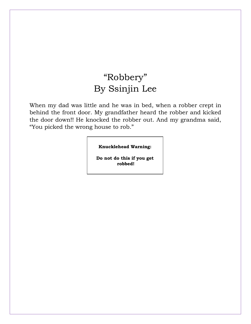# "Robbery" By Ssinjin Lee

When my dad was little and he was in bed, when a robber crept in behind the front door. My grandfather heard the robber and kicked the door down!! He knocked the robber out. And my grandma said, "You picked the wrong house to rob."

**Knucklehead Warning:**

**Do not do this if you get robbed!**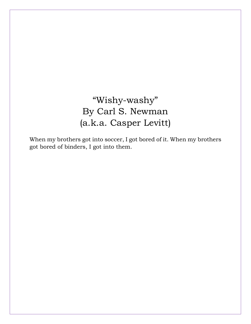# "Wishy-washy" By Carl S. Newman (a.k.a. Casper Levitt)

When my brothers got into soccer, I got bored of it. When my brothers got bored of binders, I got into them.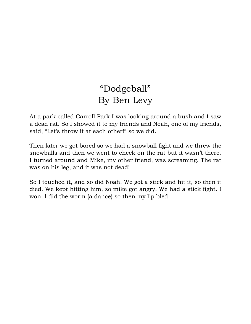# "Dodgeball" By Ben Levy

At a park called Carroll Park I was looking around a bush and I saw a dead rat. So I showed it to my friends and Noah, one of my friends, said, "Let's throw it at each other!" so we did.

Then later we got bored so we had a snowball fight and we threw the snowballs and then we went to check on the rat but it wasn't there. I turned around and Mike, my other friend, was screaming. The rat was on his leg, and it was not dead!

So I touched it, and so did Noah. We got a stick and hit it, so then it died. We kept hitting him, so mike got angry. We had a stick fight. I won. I did the worm (a dance) so then my lip bled.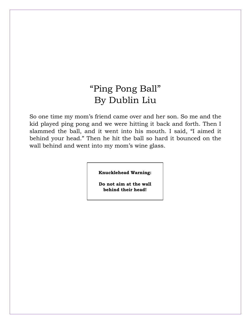# "Ping Pong Ball" By Dublin Liu

So one time my mom's friend came over and her son. So me and the kid played ping pong and we were hitting it back and forth. Then I slammed the ball, and it went into his mouth. I said, "I aimed it behind your head." Then he hit the ball so hard it bounced on the wall behind and went into my mom's wine glass.

**Knucklehead Warning:**

**Do not aim at the wall behind their head!**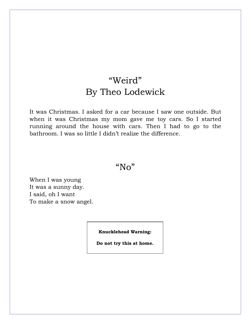# "Weird" By Theo Lodewick

It was Christmas. I asked for a car because I saw one outside. But when it was Christmas my mom gave me toy cars. So I started running around the house with cars. Then I had to go to the bathroom. I was so little I didn't realize the difference.

#### "No"

When I was young It was a sunny day. I said, oh I want To make a snow angel.

**Knucklehead Warning:**

**Do not try this at home.**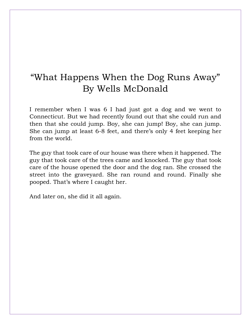# "What Happens When the Dog Runs Away" By Wells McDonald

I remember when I was 6 I had just got a dog and we went to Connecticut. But we had recently found out that she could run and then that she could jump. Boy, she can jump! Boy, she can jump. She can jump at least 6-8 feet, and there's only 4 feet keeping her from the world.

The guy that took care of our house was there when it happened. The guy that took care of the trees came and knocked. The guy that took care of the house opened the door and the dog ran. She crossed the street into the graveyard. She ran round and round. Finally she pooped. That's where I caught her.

And later on, she did it all again.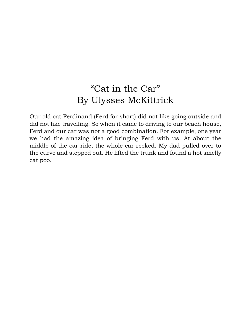# "Cat in the Car" By Ulysses McKittrick

Our old cat Ferdinand (Ferd for short) did not like going outside and did not like travelling. So when it came to driving to our beach house, Ferd and our car was not a good combination. For example, one year we had the amazing idea of bringing Ferd with us. At about the middle of the car ride, the whole car reeked. My dad pulled over to the curve and stepped out. He lifted the trunk and found a hot smelly cat poo.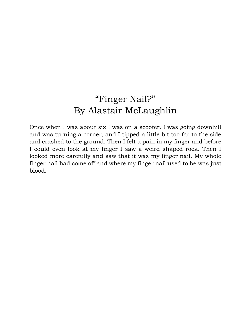# "Finger Nail?" By Alastair McLaughlin

Once when I was about six I was on a scooter. I was going downhill and was turning a corner, and I tipped a little bit too far to the side and crashed to the ground. Then I felt a pain in my finger and before I could even look at my finger I saw a weird shaped rock. Then I looked more carefully and saw that it was my finger nail. My whole finger nail had come off and where my finger nail used to be was just blood.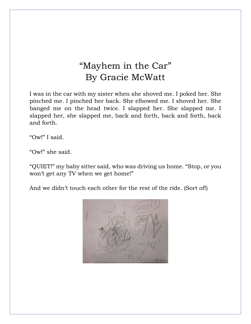# "Mayhem in the Car" By Gracie McWatt

I was in the car with my sister when she shoved me. I poked her. She pinched me. I pinched her back. She elbowed me. I shoved her. She banged me on the head twice. I slapped her. She slapped me. I slapped her, she slapped me, back and forth, back and forth, back and forth.

"Ow!" I said.

"Ow!" she said.

"QUIET!" my baby sitter said, who was driving us home. "Stop, or you won't get any TV when we get home!"

And we didn't touch each other for the rest of the ride. (Sort of!)

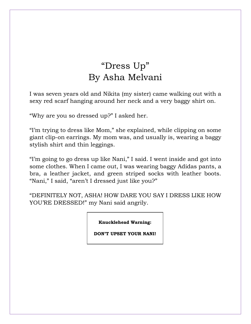# "Dress Up" By Asha Melvani

I was seven years old and Nikita (my sister) came walking out with a sexy red scarf hanging around her neck and a very baggy shirt on.

"Why are you so dressed up?" I asked her.

"I'm trying to dress like Mom," she explained, while clipping on some giant clip-on earrings. My mom was, and usually is, wearing a baggy stylish shirt and thin leggings.

"I'm going to go dress up like Nani," I said. I went inside and got into some clothes. When I came out, I was wearing baggy Adidas pants, a bra, a leather jacket, and green striped socks with leather boots. "Nani," I said, "aren't I dressed just like you?"

"DEFINITELY NOT, ASHA! HOW DARE YOU SAY I DRESS LIKE HOW YOU'RE DRESSED!" my Nani said angrily.

**Knucklehead Warning:**

**DON'T UPSET YOUR NANI!**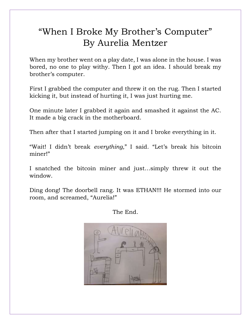# "When I Broke My Brother's Computer" By Aurelia Mentzer

When my brother went on a play date, I was alone in the house. I was bored, no one to play withy. Then I got an idea. I should break my brother's computer.

First I grabbed the computer and threw it on the rug. Then I started kicking it, but instead of hurting it, I was just hurting me.

One minute later I grabbed it again and smashed it against the AC. It made a big crack in the motherboard.

Then after that I started jumping on it and I broke everything in it.

"Wait! I didn't break *everything*," I said. "Let's break his bitcoin miner!"

I snatched the bitcoin miner and just…simply threw it out the window.

Ding dong! The doorbell rang. It was ETHAN!!! He stormed into our room, and screamed, "Aurelia!"

The End.

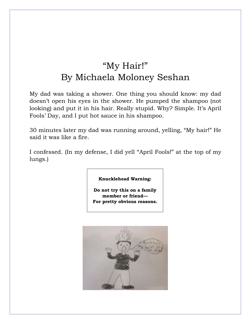# "My Hair!" By Michaela Moloney Seshan

My dad was taking a shower. One thing you should know: my dad doesn't open his eyes in the shower. He pumped the shampoo (not looking) and put it in his hair. Really stupid. Why? Simple. It's April Fools' Day, and I put hot sauce in his shampoo.

30 minutes later my dad was running around, yelling, "My hair!" He said it was like a fire.

I confessed. (In my defense, I did yell "April Fools!" at the top of my lungs.)

**Knucklehead Warning:**

**Do not try this on a family member or friend— For pretty obvious reasons.**

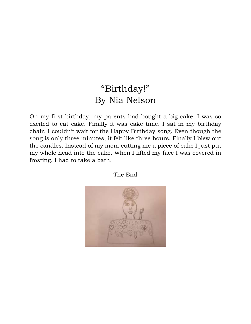#### "Birthday!" By Nia Nelson

On my first birthday, my parents had bought a big cake. I was so excited to eat cake. Finally it was cake time. I sat in my birthday chair. I couldn't wait for the Happy Birthday song. Even though the song is only three minutes, it felt like three hours. Finally I blew out the candles. Instead of my mom cutting me a piece of cake I just put my whole head into the cake. When I lifted my face I was covered in frosting. I had to take a bath.

The End

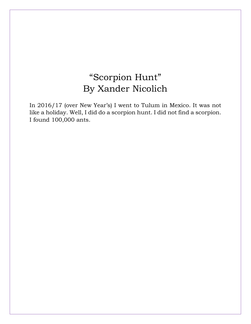# "Scorpion Hunt" By Xander Nicolich

In 2016/17 (over New Year's) I went to Tulum in Mexico. It was not like a holiday. Well, I did do a scorpion hunt. I did not find a scorpion. I found 100,000 ants.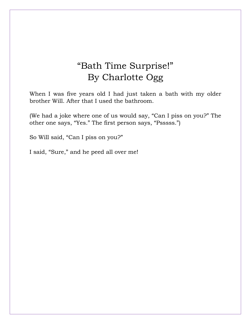# "Bath Time Surprise!" By Charlotte Ogg

When I was five years old I had just taken a bath with my older brother Will. After that I used the bathroom.

(We had a joke where one of us would say, "Can I piss on you?" The other one says, "Yes." The first person says, "Psssss.")

So Will said, "Can I piss on you?"

I said, "Sure," and he peed all over me!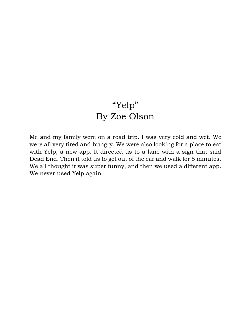# "Yelp" By Zoe Olson

Me and my family were on a road trip. I was very cold and wet. We were all very tired and hungry. We were also looking for a place to eat with Yelp, a new app. It directed us to a lane with a sign that said Dead End. Then it told us to get out of the car and walk for 5 minutes. We all thought it was super funny, and then we used a different app. We never used Yelp again.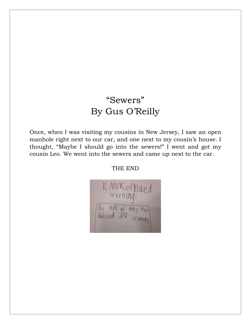# "Sewers" By Gus O'Reilly

Once, when I was visiting my cousins in New Jersey, I saw an open manhole right next to our car, and one next to my cousin's house. I thought, "Maybe I should go into the sewers!" I went and got my cousin Leo. We went into the sewers and came up next to the car.

THE END

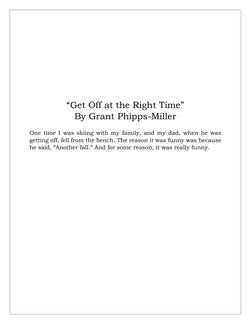# "Get Off at the Right Time" By Grant Phipps-Miller

One time I was skiing with my family, and my dad, when he was getting off, fell from the bench. The reason it was funny was because he said, "Another fall." And for some reason, it was really funny.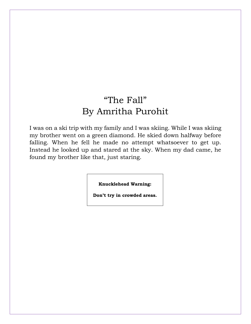### "The Fall" By Amritha Purohit

I was on a ski trip with my family and I was skiing. While I was skiing my brother went on a green diamond. He skied down halfway before falling. When he fell he made no attempt whatsoever to get up. Instead he looked up and stared at the sky. When my dad came, he found my brother like that, just staring.

**Knucklehead Warning:**

**Don't try in crowded areas.**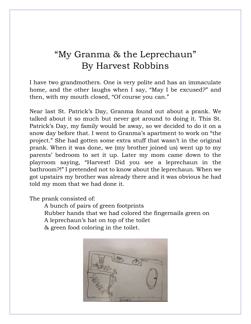#### "My Granma & the Leprechaun" By Harvest Robbins

I have two grandmothers. One is very polite and has an immaculate home, and the other laughs when I say, "May I be excused?" and then, with my mouth closed, "Of course you can."

Near last St. Patrick's Day, Granma found out about a prank. We talked about it so much but never got around to doing it. This St. Patrick's Day, my family would be away, so we decided to do it on a snow day before that. I went to Granma's apartment to work on "the project." She had gotten some extra stuff that wasn't in the original prank. When it was done, we (my brother joined us) went up to my parents' bedroom to set it up. Later my mom came down to the playroom saying, "Harvest! Did you see a leprechaun in the bathroom?!" I pretended not to know about the leprechaun. When we got upstairs my brother was already there and it was obvious he had told my mom that we had done it.

The prank consisted of:

A bunch of pairs of green footprints Rubber hands that we had colored the fingernails green on A leprechaun's hat on top of the toilet & green food coloring in the toilet.

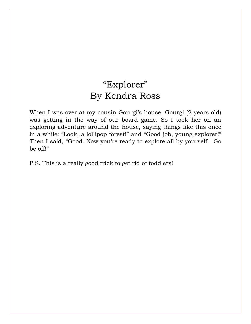### "Explorer" By Kendra Ross

When I was over at my cousin Gourgi's house, Gourgi (2 years old) was getting in the way of our board game. So I took her on an exploring adventure around the house, saying things like this once in a while: "Look, a lollipop forest!" and "Good job, young explorer!" Then I said, "Good. Now you're ready to explore all by yourself. Go be off!"

P.S. This is a really good trick to get rid of toddlers!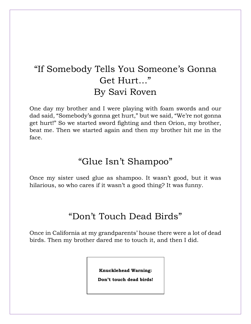# "If Somebody Tells You Someone's Gonna Get Hurt…" By Savi Roven

One day my brother and I were playing with foam swords and our dad said, "Somebody's gonna get hurt," but we said, "We're not gonna get hurt!" So we started sword fighting and then Orion, my brother, beat me. Then we started again and then my brother hit me in the face.

#### "Glue Isn't Shampoo"

Once my sister used glue as shampoo. It wasn't good, but it was hilarious, so who cares if it wasn't a good thing? It was funny.

#### "Don't Touch Dead Birds"

Once in California at my grandparents' house there were a lot of dead birds. Then my brother dared me to touch it, and then I did.

**Knucklehead Warning:**

**Don't touch dead birds!**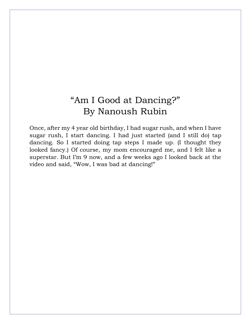# "Am I Good at Dancing?" By Nanoush Rubin

Once, after my 4 year old birthday, I had sugar rush, and when I have sugar rush, I start dancing. I had just started (and I still do) tap dancing. So I started doing tap steps I made up. (I thought they looked fancy.) Of course, my mom encouraged me, and I felt like a superstar. But I'm 9 now, and a few weeks ago I looked back at the video and said, "Wow, I was bad at dancing!"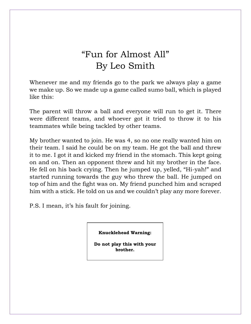# "Fun for Almost All" By Leo Smith

Whenever me and my friends go to the park we always play a game we make up. So we made up a game called sumo ball, which is played like this:

The parent will throw a ball and everyone will run to get it. There were different teams, and whoever got it tried to throw it to his teammates while being tackled by other teams.

My brother wanted to join. He was 4, so no one really wanted him on their team. I said he could be on my team. He got the ball and threw it to me. I got it and kicked my friend in the stomach. This kept going on and on. Then an opponent threw and hit my brother in the face. He fell on his back crying. Then he jumped up, yelled, "Hi-yah!" and started running towards the guy who threw the ball. He jumped on top of him and the fight was on. My friend punched him and scraped him with a stick. He told on us and we couldn't play any more forever.

P.S. I mean, it's his fault for joining.

**Knucklehead Warning:**

**Do not play this with your brother.**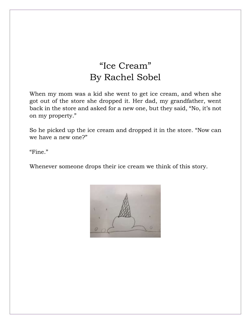# "Ice Cream" By Rachel Sobel

When my mom was a kid she went to get ice cream, and when she got out of the store she dropped it. Her dad, my grandfather, went back in the store and asked for a new one, but they said, "No, it's not on my property."

So he picked up the ice cream and dropped it in the store. "Now can we have a new one?"

"Fine."

Whenever someone drops their ice cream we think of this story.

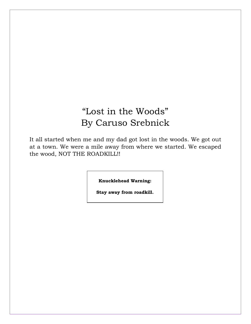# "Lost in the Woods" By Caruso Srebnick

It all started when me and my dad got lost in the woods. We got out at a town. We were a mile away from where we started. We escaped the wood, NOT THE ROADKILL!!

**Knucklehead Warning:**

**Stay away from roadkill.**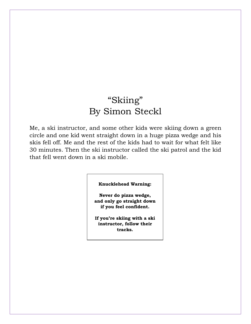# "Skiing" By Simon Steckl

Me, a ski instructor, and some other kids were skiing down a green circle and one kid went straight down in a huge pizza wedge and his skis fell off. Me and the rest of the kids had to wait for what felt like 30 minutes. Then the ski instructor called the ski patrol and the kid that fell went down in a ski mobile.

#### **Knucklehead Warning:**

**Never do pizza wedge, and only go straight down if you feel confident.**

**If you're skiing with a ski instructor, follow their tracks.**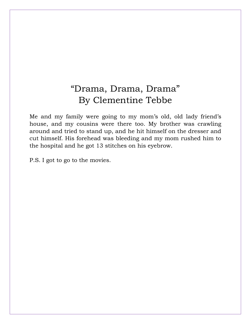### "Drama, Drama, Drama" By Clementine Tebbe

Me and my family were going to my mom's old, old lady friend's house, and my cousins were there too. My brother was crawling around and tried to stand up, and he hit himself on the dresser and cut himself. His forehead was bleeding and my mom rushed him to the hospital and he got 13 stitches on his eyebrow.

P.S. I got to go to the movies.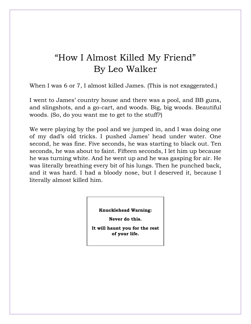#### "How I Almost Killed My Friend" By Leo Walker

When I was 6 or 7, I almost killed James. (This is not exaggerated.)

I went to James' country house and there was a pool, and BB guns, and slingshots, and a go-cart, and woods. Big, big woods. Beautiful woods. (So, do you want me to get to the stuff?)

We were playing by the pool and we jumped in, and I was doing one of my dad's old tricks. I pushed James' head under water. One second, he was fine. Five seconds, he was starting to black out. Ten seconds, he was about to faint. Fifteen seconds, I let him up because he was turning white. And he went up and he was gasping for air. He was literally breathing every bit of his lungs. Then he punched back, and it was hard. I had a bloody nose, but I deserved it, because I literally almost killed him.

**Knucklehead Warning:**

**Never do this.**

**It will haunt you for the rest of your life.**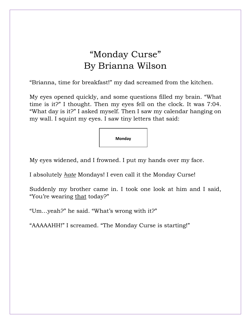#### "Monday Curse" By Brianna Wilson

"Brianna, time for breakfast!" my dad screamed from the kitchen.

My eyes opened quickly, and some questions filled my brain. "What time is it?" I thought. Then my eyes fell on the clock. It was 7:04. "What day is it?" I asked myself. Then I saw my calendar hanging on my wall. I squint my eyes. I saw tiny letters that said:

**Monday**

My eyes widened, and I frowned. I put my hands over my face.

I absolutely *hate* Mondays! I even call it the Monday Curse!

Suddenly my brother came in. I took one look at him and I said, "You're wearing that today?"

"Um…yeah?" he said. "What's wrong with it?"

"AAAAAHH!" I screamed. "The Monday Curse is starting!"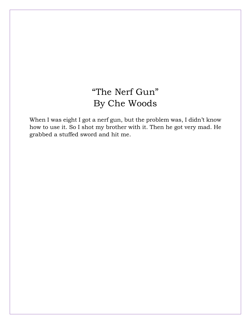# "The Nerf Gun" By Che Woods

When I was eight I got a nerf gun, but the problem was, I didn't know how to use it. So I shot my brother with it. Then he got very mad. He grabbed a stuffed sword and hit me.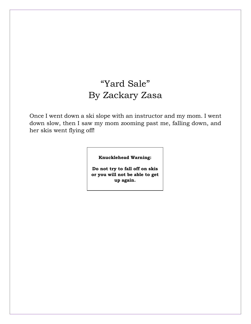# "Yard Sale" By Zackary Zasa

Once I went down a ski slope with an instructor and my mom. I went down slow, then I saw my mom zooming past me, falling down, and her skis went flying off!

#### **Knucklehead Warning:**

**Do not try to fall off on skis or you will not be able to get up again.**